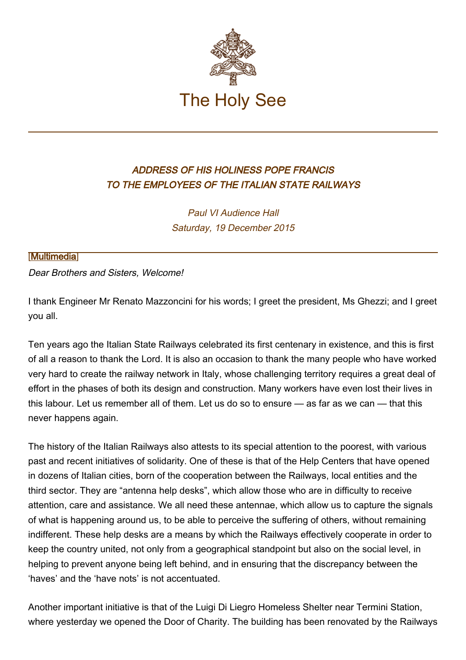

## ADDRESS OF HIS HOLINESS POPE FRANCIS TO THE EMPLOYEES OF THE ITALIAN STATE RAILWAYS

Paul VI Audience Hall Saturday, 19 December 2015

## [\[Multimedia](http://w2.vatican.va/content/francesco/en/events/event.dir.html/content/vaticanevents/en/2015/12/19/ferrovieitaliane.html)]

Dear Brothers and Sisters, Welcome!

I thank Engineer Mr Renato Mazzoncini for his words; I greet the president, Ms Ghezzi; and I greet you all.

Ten years ago the Italian State Railways celebrated its first centenary in existence, and this is first of all a reason to thank the Lord. It is also an occasion to thank the many people who have worked very hard to create the railway network in Italy, whose challenging territory requires a great deal of effort in the phases of both its design and construction. Many workers have even lost their lives in this labour. Let us remember all of them. Let us do so to ensure — as far as we can — that this never happens again.

The history of the Italian Railways also attests to its special attention to the poorest, with various past and recent initiatives of solidarity. One of these is that of the Help Centers that have opened in dozens of Italian cities, born of the cooperation between the Railways, local entities and the third sector. They are "antenna help desks", which allow those who are in difficulty to receive attention, care and assistance. We all need these antennae, which allow us to capture the signals of what is happening around us, to be able to perceive the suffering of others, without remaining indifferent. These help desks are a means by which the Railways effectively cooperate in order to keep the country united, not only from a geographical standpoint but also on the social level, in helping to prevent anyone being left behind, and in ensuring that the discrepancy between the 'haves' and the 'have nots' is not accentuated.

Another important initiative is that of the Luigi Di Liegro Homeless Shelter near Termini Station, where yesterday we opened the Door of Charity. The building has been renovated by the Railways